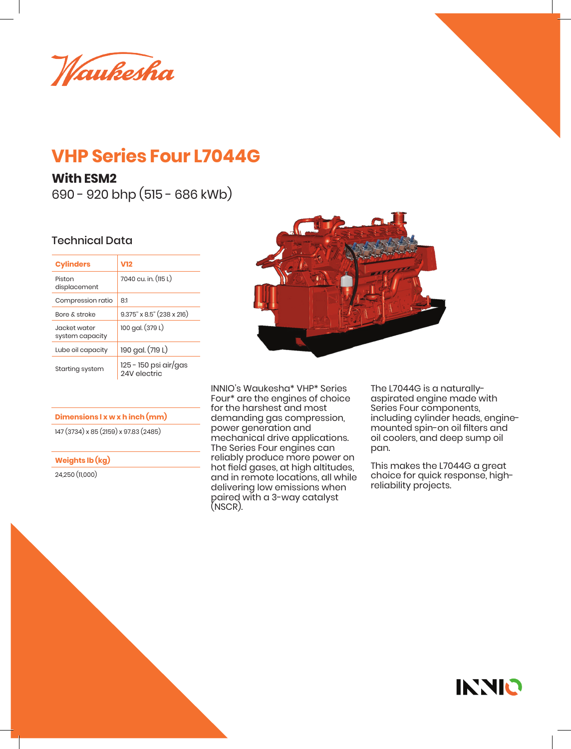Waukesha

## **VHP Series Four L7044G**

## **With ESM2**

690 - 920 bhp (515 - 686 kWb)

## Technical Data

| <b>Cylinders</b>                | V12                                   |  |
|---------------------------------|---------------------------------------|--|
| Piston<br>displacement          | 7040 cu. in. (115 L)                  |  |
| Compression ratio               | 8:1                                   |  |
| <b>Bore &amp; stroke</b>        | $9.375$ " x $8.5$ " (238 x 216)       |  |
| Jacket water<br>system capacity | 100 gal. (379 L)                      |  |
| Lube oil capacity               | 190 gal. (719 L)                      |  |
| Starting system                 | 125 - 150 psi air/gas<br>24V electric |  |

**Dimensions l x w x h inch (mm)**

147 (3734) x 85 (2159) x 97.83 (2485)

**Weights lb (kg)**

24,250 (11,000)



INNIO's Waukesha\* VHP\* Series Four\* are the engines of choice for the harshest and most demanding gas compression, power generation and mechanical drive applications. The Series Four engines can reliably produce more power on hot field gases, at high altitudes, and in remote locations, all while delivering low emissions when paired with a 3-way catalyst (NSCR).

The L7044G is a naturallyaspirated engine made with Series Four components, including cylinder heads, enginemounted spin-on oil filters and oil coolers, and deep sump oil pan.

This makes the L7044G a great choice for quick response, highreliability projects.